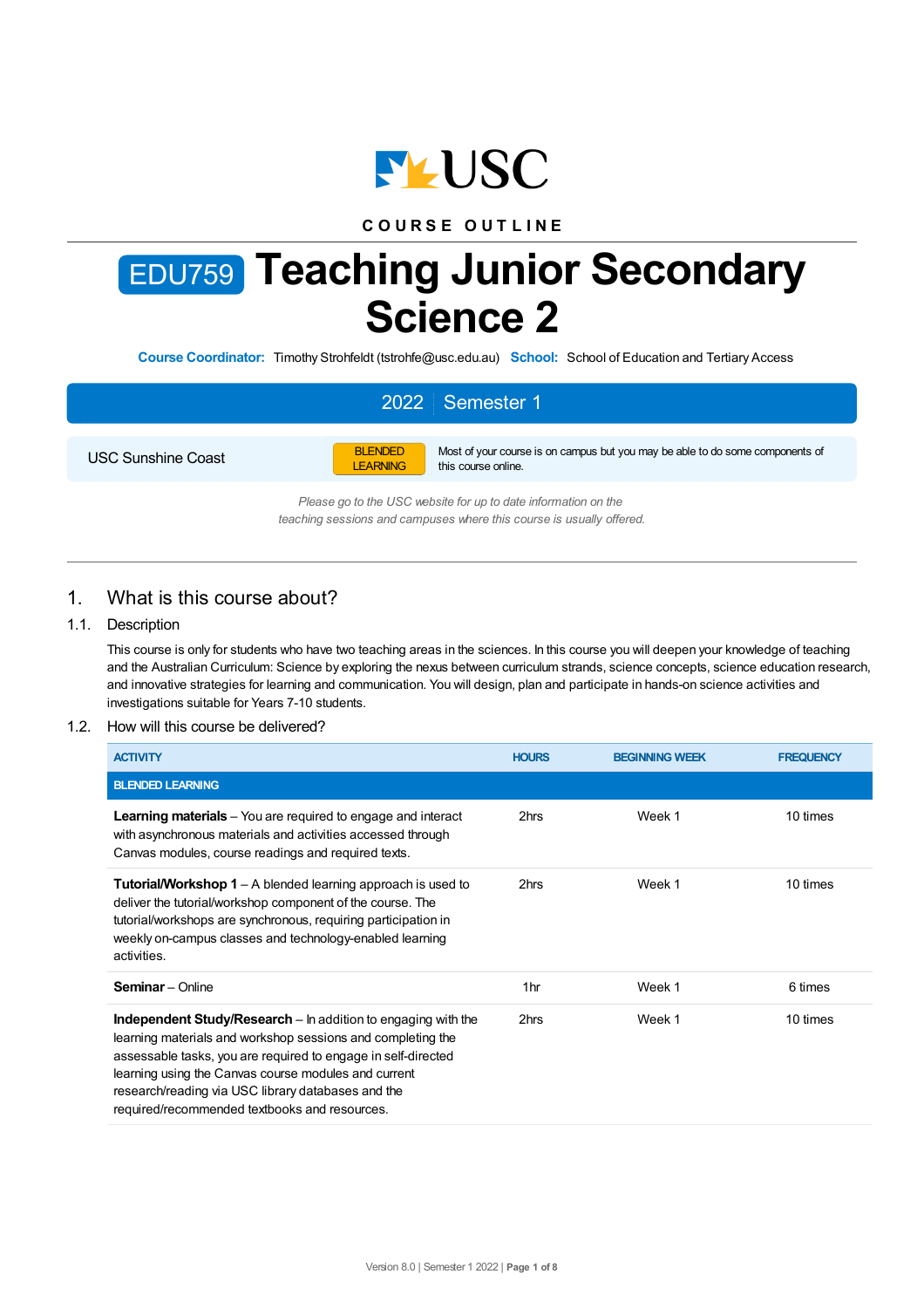

# **C O U R S E O U T L I N E**

# EDU759 **Teaching Junior Secondary Science 2**

**Course Coordinator:** Timothy Strohfeldt (tstrohfe@usc.edu.au) **School:** School of Education and Tertiary Access

# 2022 Semester 1

USC Sunshine Coast



Most of your course is on campus but you may be able to do some components of this course online.

*Please go to the USC website for up to date information on the teaching sessions and campuses where this course is usually offered.*

# 1. What is this course about?

# 1.1. Description

This course is only for students who have two teaching areas in the sciences. In this course you will deepen your knowledge of teaching and the Australian Curriculum: Science by exploring the nexus between curriculum strands, science concepts, science education research, and innovative strategies for learning and communication. You will design, plan and participate in hands-on science activities and investigations suitable for Years 7-10 students.

#### 1.2. How will this course be delivered?

| <b>ACTIVITY</b>                                                                                                                                                                                                                                                                                                                                              | <b>HOURS</b> | <b>BEGINNING WEEK</b> | <b>FREQUENCY</b> |
|--------------------------------------------------------------------------------------------------------------------------------------------------------------------------------------------------------------------------------------------------------------------------------------------------------------------------------------------------------------|--------------|-----------------------|------------------|
| <b>BLENDED LEARNING</b>                                                                                                                                                                                                                                                                                                                                      |              |                       |                  |
| <b>Learning materials</b> – You are required to engage and interact<br>with asynchronous materials and activities accessed through<br>Canvas modules, course readings and required texts.                                                                                                                                                                    | 2hrs         | Week 1                | 10 times         |
| <b>Tutorial/Workshop 1</b> – A blended learning approach is used to<br>deliver the tutorial/workshop component of the course. The<br>tutorial/workshops are synchronous, requiring participation in<br>weekly on-campus classes and technology-enabled learning<br>activities.                                                                               | 2hrs         | Week 1                | 10 times         |
| <b>Seminar</b> - Online                                                                                                                                                                                                                                                                                                                                      | 1hr          | Week 1                | 6 times          |
| Independent Study/Research - In addition to engaging with the<br>learning materials and workshop sessions and completing the<br>assessable tasks, you are required to engage in self-directed<br>learning using the Canvas course modules and current<br>research/reading via USC library databases and the<br>required/recommended textbooks and resources. | 2hrs         | Week 1                | 10 times         |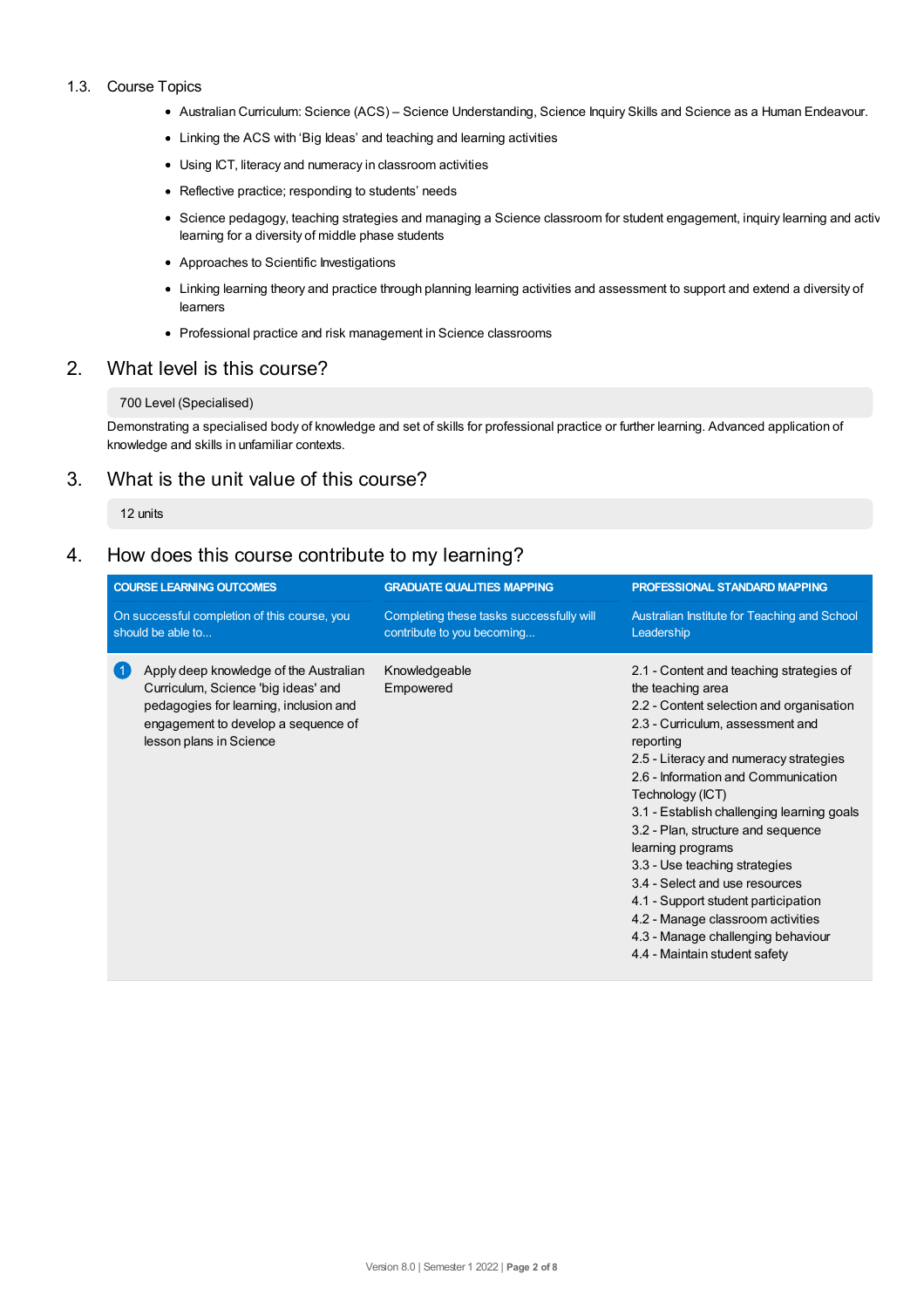#### 1.3. Course Topics

- Australian Curriculum: Science (ACS) Science Understanding, Science Inquiry Skills and Science as a Human Endeavour.
- Linking the ACS with 'Big Ideas' and teaching and learning activities
- Using ICT, literacy and numeracy in classroom activities
- Reflective practice; responding to students' needs
- Science pedagogy, teaching strategies and managing a Science classroom for student engagement, inquiry learning and activ learning for a diversity of middle phase students
- Approaches to Scientific Investigations
- Linking learning theory and practice through planning learning activities and assessment to support and extend a diversity of learners
- Professional practice and risk management in Science classrooms

# 2. What level is this course?

#### 700 Level (Specialised)

Demonstrating a specialised body of knowledge and set of skills for professional practice or further learning. Advanced application of knowledge and skills in unfamiliar contexts.

# 3. What is the unit value of this course?

12 units

# 4. How does this course contribute to my learning?

| <b>COURSE LEARNING OUTCOMES</b>                                   |                                                                                                                                                                                           | <b>GRADUATE QUALITIES MAPPING</b>                                      | PROFESSIONAL STANDARD MAPPING                                                                                                                                                                                                                                                                                                                                                                                                                                                                                                                                                                  |  |
|-------------------------------------------------------------------|-------------------------------------------------------------------------------------------------------------------------------------------------------------------------------------------|------------------------------------------------------------------------|------------------------------------------------------------------------------------------------------------------------------------------------------------------------------------------------------------------------------------------------------------------------------------------------------------------------------------------------------------------------------------------------------------------------------------------------------------------------------------------------------------------------------------------------------------------------------------------------|--|
| On successful completion of this course, you<br>should be able to |                                                                                                                                                                                           | Completing these tasks successfully will<br>contribute to you becoming | Australian Institute for Teaching and School<br>Leadership                                                                                                                                                                                                                                                                                                                                                                                                                                                                                                                                     |  |
| $\blacksquare$                                                    | Apply deep knowledge of the Australian<br>Curriculum, Science 'big ideas' and<br>pedagogies for learning, inclusion and<br>engagement to develop a sequence of<br>lesson plans in Science | Knowledgeable<br>Empowered                                             | 2.1 - Content and teaching strategies of<br>the teaching area<br>2.2 - Content selection and organisation<br>2.3 - Curriculum, assessment and<br>reporting<br>2.5 - Literacy and numeracy strategies<br>2.6 - Information and Communication<br>Technology (ICT)<br>3.1 - Establish challenging learning goals<br>3.2 - Plan, structure and sequence<br>learning programs<br>3.3 - Use teaching strategies<br>3.4 - Select and use resources<br>4.1 - Support student participation<br>4.2 - Manage classroom activities<br>4.3 - Manage challenging behaviour<br>4.4 - Maintain student safety |  |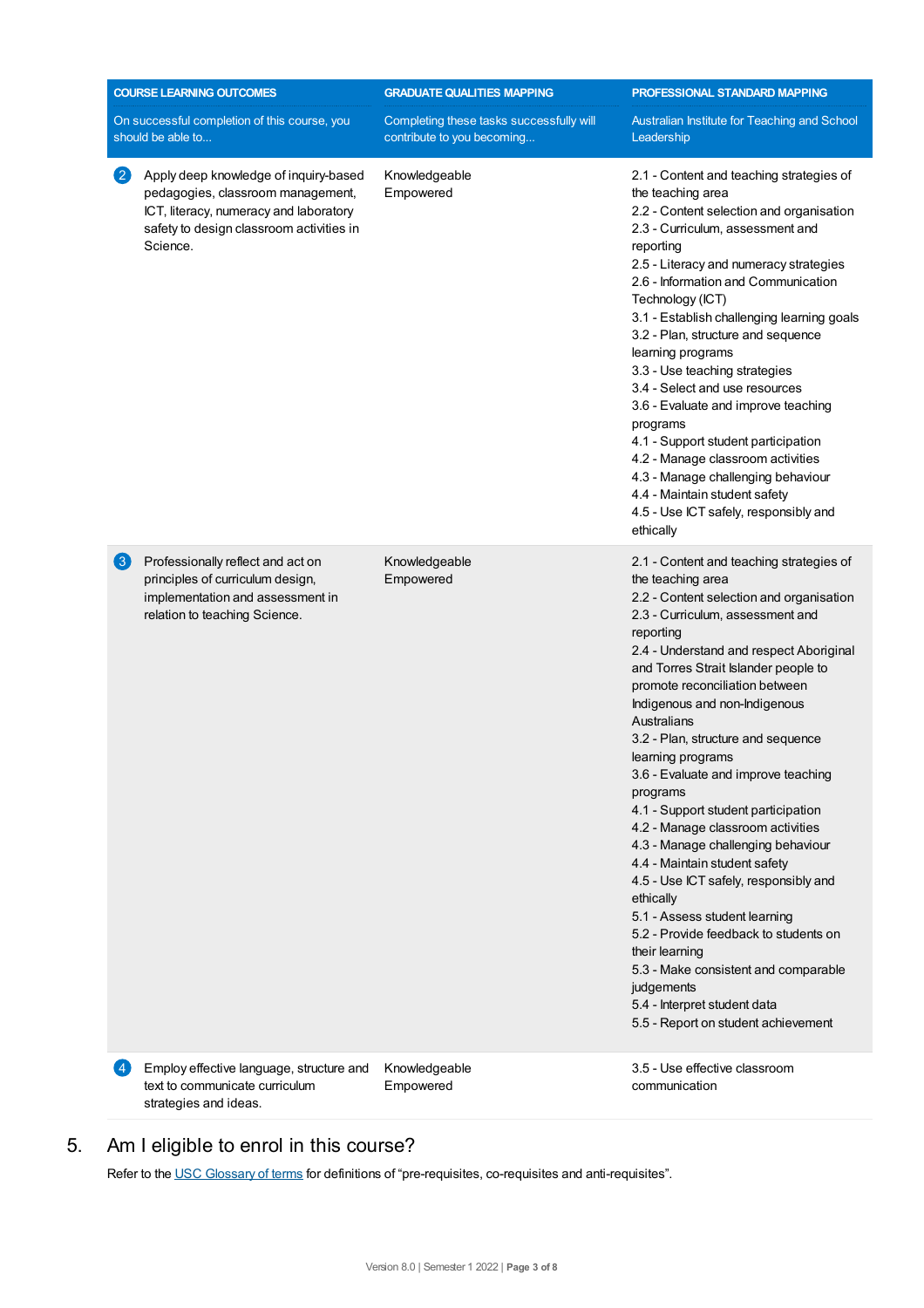| <b>COURSE LEARNING OUTCOMES</b>                                   |                                                                                                                                                                              | <b>GRADUATE QUALITIES MAPPING</b>                                      | PROFESSIONAL STANDARD MAPPING                                                                                                                                                                                                                                                                                                                                                                                                                                                                                                                                                                                                                                                                                                                                                                                                                                                   |  |
|-------------------------------------------------------------------|------------------------------------------------------------------------------------------------------------------------------------------------------------------------------|------------------------------------------------------------------------|---------------------------------------------------------------------------------------------------------------------------------------------------------------------------------------------------------------------------------------------------------------------------------------------------------------------------------------------------------------------------------------------------------------------------------------------------------------------------------------------------------------------------------------------------------------------------------------------------------------------------------------------------------------------------------------------------------------------------------------------------------------------------------------------------------------------------------------------------------------------------------|--|
| On successful completion of this course, you<br>should be able to |                                                                                                                                                                              | Completing these tasks successfully will<br>contribute to you becoming | Australian Institute for Teaching and School<br>Leadership                                                                                                                                                                                                                                                                                                                                                                                                                                                                                                                                                                                                                                                                                                                                                                                                                      |  |
| $\left( 2\right)$                                                 | Apply deep knowledge of inquiry-based<br>pedagogies, classroom management,<br>ICT, literacy, numeracy and laboratory<br>safety to design classroom activities in<br>Science. | Knowledgeable<br>Empowered                                             | 2.1 - Content and teaching strategies of<br>the teaching area<br>2.2 - Content selection and organisation<br>2.3 - Curriculum, assessment and<br>reporting<br>2.5 - Literacy and numeracy strategies<br>2.6 - Information and Communication<br>Technology (ICT)<br>3.1 - Establish challenging learning goals<br>3.2 - Plan, structure and sequence<br>learning programs<br>3.3 - Use teaching strategies<br>3.4 - Select and use resources<br>3.6 - Evaluate and improve teaching<br>programs<br>4.1 - Support student participation<br>4.2 - Manage classroom activities<br>4.3 - Manage challenging behaviour<br>4.4 - Maintain student safety<br>4.5 - Use ICT safely, responsibly and<br>ethically                                                                                                                                                                         |  |
| 3                                                                 | Professionally reflect and act on<br>principles of curriculum design,<br>implementation and assessment in<br>relation to teaching Science.                                   | Knowledgeable<br>Empowered                                             | 2.1 - Content and teaching strategies of<br>the teaching area<br>2.2 - Content selection and organisation<br>2.3 - Curriculum, assessment and<br>reporting<br>2.4 - Understand and respect Aboriginal<br>and Torres Strait Islander people to<br>promote reconciliation between<br>Indigenous and non-Indigenous<br>Australians<br>3.2 - Plan, structure and sequence<br>learning programs<br>3.6 - Evaluate and improve teaching<br>programs<br>4.1 - Support student participation<br>4.2 - Manage classroom activities<br>4.3 - Manage challenging behaviour<br>4.4 - Maintain student safety<br>4.5 - Use ICT safely, responsibly and<br>ethically<br>5.1 - Assess student learning<br>5.2 - Provide feedback to students on<br>their learning<br>5.3 - Make consistent and comparable<br>judgements<br>5.4 - Interpret student data<br>5.5 - Report on student achievement |  |
| 4                                                                 | Employ effective language, structure and<br>text to communicate curriculum<br>strategies and ideas.                                                                          | Knowledgeable<br>Empowered                                             | 3.5 - Use effective classroom<br>communication                                                                                                                                                                                                                                                                                                                                                                                                                                                                                                                                                                                                                                                                                                                                                                                                                                  |  |

# 5. Am Ieligible to enrol in this course?

Refer to the USC [Glossary](https://www.usc.edu.au/about/policies-and-procedures/glossary-of-terms-for-policy-and-procedures) of terms for definitions of "pre-requisites, co-requisites and anti-requisites".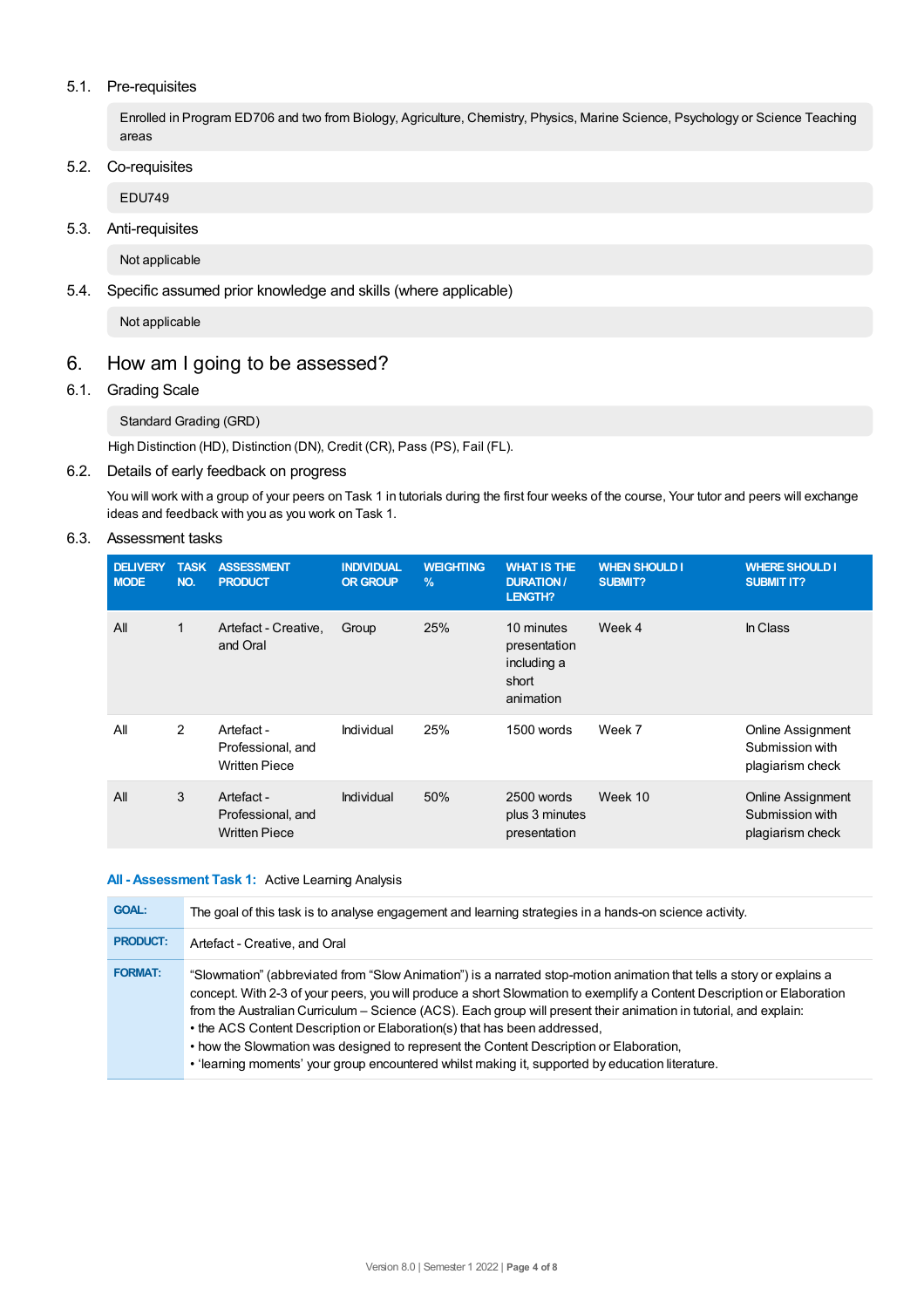## 5.1. Pre-requisites

Enrolled in Program ED706 and two from Biology, Agriculture, Chemistry, Physics, Marine Science, Psychology or Science Teaching areas

# 5.2. Co-requisites

EDU749

# 5.3. Anti-requisites

Not applicable

# 5.4. Specific assumed prior knowledge and skills (where applicable)

Not applicable

# 6. How am Igoing to be assessed?

# 6.1. Grading Scale

# Standard Grading (GRD)

High Distinction (HD), Distinction (DN), Credit (CR), Pass (PS), Fail (FL).

## 6.2. Details of early feedback on progress

You will work with a group of your peers on Task 1 in tutorials during the first four weeks of the course, Your tutor and peers will exchange ideas and feedback with you as you work on Task 1.

# 6.3. Assessment tasks

| <b>DELIVERY</b><br><b>MODE</b> | <b>TASK</b><br>NO. | <b>ASSESSMENT</b><br><b>PRODUCT</b>                     | <b>INDIVIDUAL</b><br><b>OR GROUP</b> | <b>WEIGHTING</b><br>$\frac{9}{6}$ | <b>WHAT IS THE</b><br><b>DURATION /</b><br><b>LENGTH?</b>       | <b>WHEN SHOULD I</b><br><b>SUBMIT?</b> | <b>WHERE SHOULD I</b><br><b>SUBMIT IT?</b>                      |
|--------------------------------|--------------------|---------------------------------------------------------|--------------------------------------|-----------------------------------|-----------------------------------------------------------------|----------------------------------------|-----------------------------------------------------------------|
| All                            | 1                  | Artefact - Creative,<br>and Oral                        | Group                                | 25%                               | 10 minutes<br>presentation<br>including a<br>short<br>animation | Week 4                                 | In Class                                                        |
| All                            | 2                  | Artefact -<br>Professional, and<br><b>Written Piece</b> | Individual                           | 25%                               | 1500 words                                                      | Week 7                                 | <b>Online Assignment</b><br>Submission with<br>plagiarism check |
| All                            | 3                  | Artefact -<br>Professional, and<br><b>Written Piece</b> | Individual                           | 50%                               | 2500 words<br>plus 3 minutes<br>presentation                    | Week 10                                | <b>Online Assignment</b><br>Submission with<br>plagiarism check |

#### **All - Assessment Task 1:** Active Learning Analysis

| <b>GOAL:</b>    | The goal of this task is to analyse engagement and learning strategies in a hands-on science activity.                                                                                                                                                                                                                                                                                                                                                                                                                                                                                                                                         |
|-----------------|------------------------------------------------------------------------------------------------------------------------------------------------------------------------------------------------------------------------------------------------------------------------------------------------------------------------------------------------------------------------------------------------------------------------------------------------------------------------------------------------------------------------------------------------------------------------------------------------------------------------------------------------|
| <b>PRODUCT:</b> | Artefact - Creative, and Oral                                                                                                                                                                                                                                                                                                                                                                                                                                                                                                                                                                                                                  |
| <b>FORMAT:</b>  | "Slowmation" (abbreviated from "Slow Animation") is a narrated stop-motion animation that tells a story or explains a<br>concept. With 2-3 of your peers, you will produce a short Slowmation to exemplify a Content Description or Elaboration<br>from the Australian Curriculum – Science (ACS). Each group will present their animation in tutorial, and explain:<br>• the ACS Content Description or Elaboration(s) that has been addressed,<br>• how the Slowmation was designed to represent the Content Description or Elaboration,<br>. 'learning moments' your group encountered whilst making it, supported by education literature. |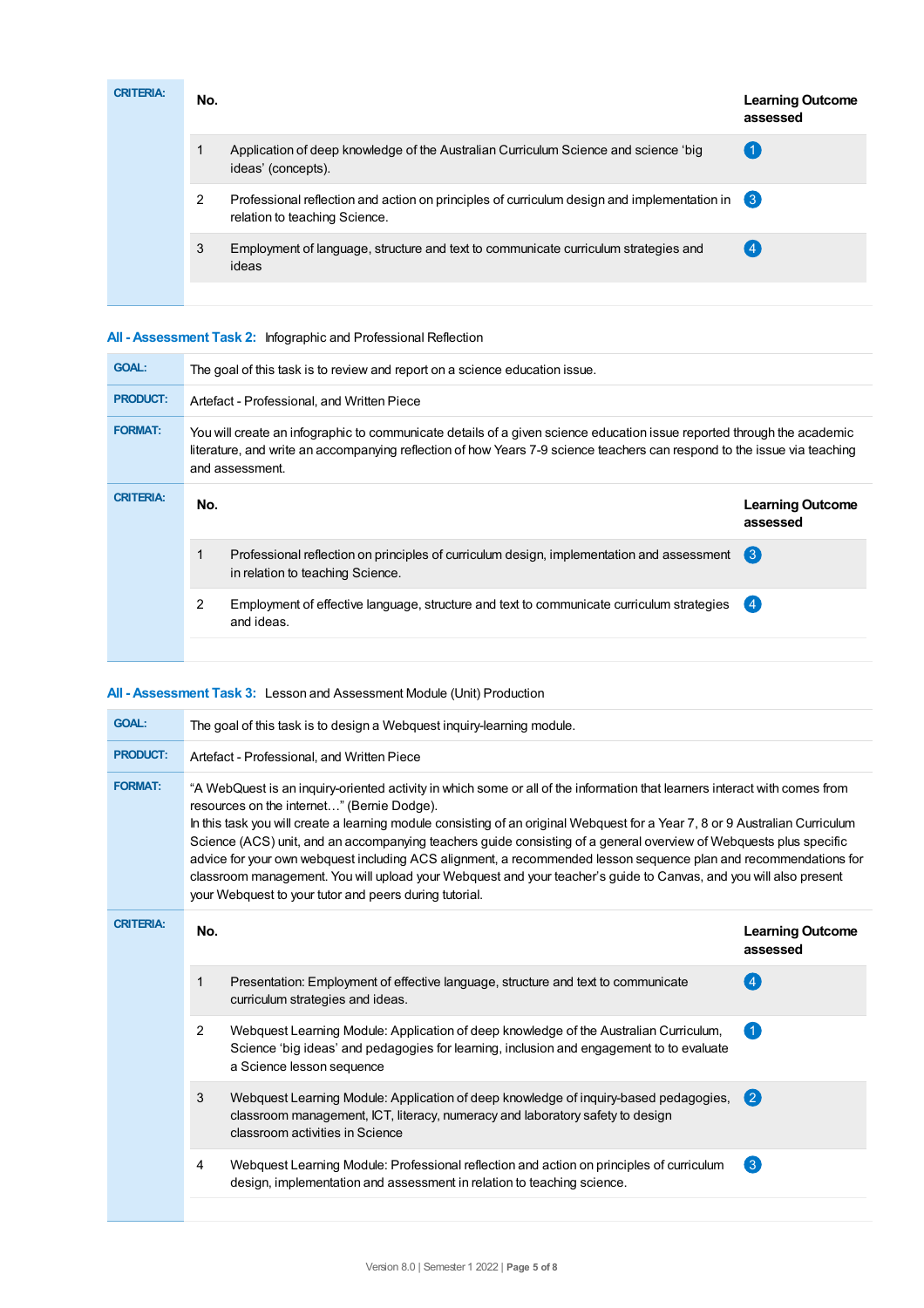| <b>CRITERIA:</b> | No. |                                                                                                                                | <b>Learning Outcome</b><br>assessed |
|------------------|-----|--------------------------------------------------------------------------------------------------------------------------------|-------------------------------------|
|                  |     | Application of deep knowledge of the Australian Curriculum Science and science 'big<br>ideas' (concepts).                      |                                     |
|                  | 2   | Professional reflection and action on principles of curriculum design and implementation in 3<br>relation to teaching Science. |                                     |
|                  | 3   | Employment of language, structure and text to communicate curriculum strategies and<br>ideas                                   | $\overline{4}$                      |
|                  |     |                                                                                                                                |                                     |

# **All - Assessment Task 2:** Infographic and Professional Reflection

| <b>GOAL:</b>     | The goal of this task is to review and report on a science education issue. |                                                                                                                                                                                                                                                                       |                                     |  |  |  |
|------------------|-----------------------------------------------------------------------------|-----------------------------------------------------------------------------------------------------------------------------------------------------------------------------------------------------------------------------------------------------------------------|-------------------------------------|--|--|--|
| <b>PRODUCT:</b>  | Artefact - Professional, and Written Piece                                  |                                                                                                                                                                                                                                                                       |                                     |  |  |  |
| <b>FORMAT:</b>   |                                                                             | You will create an infographic to communicate details of a given science education issue reported through the academic<br>literature, and write an accompanying reflection of how Years 7-9 science teachers can respond to the issue via teaching<br>and assessment. |                                     |  |  |  |
| <b>CRITERIA:</b> | No.                                                                         |                                                                                                                                                                                                                                                                       | <b>Learning Outcome</b><br>assessed |  |  |  |
|                  |                                                                             | Professional reflection on principles of curriculum design, implementation and assessment<br>in relation to teaching Science.                                                                                                                                         | $\left(3\right)$                    |  |  |  |
|                  | 2                                                                           | Employment of effective language, structure and text to communicate curriculum strategies<br>and ideas.                                                                                                                                                               | (4)                                 |  |  |  |
|                  |                                                                             |                                                                                                                                                                                                                                                                       |                                     |  |  |  |

# **All - Assessment Task 3:** Lesson and Assessment Module (Unit) Production

| <b>GOAL:</b>     | The goal of this task is to design a Webquest inquiry-learning module.                                                                                                                                                                                                                                                                                                                                                                                                                                                                                                                                                                                                                                                            |                                                                                                                                                                                                                |                                     |  |  |  |
|------------------|-----------------------------------------------------------------------------------------------------------------------------------------------------------------------------------------------------------------------------------------------------------------------------------------------------------------------------------------------------------------------------------------------------------------------------------------------------------------------------------------------------------------------------------------------------------------------------------------------------------------------------------------------------------------------------------------------------------------------------------|----------------------------------------------------------------------------------------------------------------------------------------------------------------------------------------------------------------|-------------------------------------|--|--|--|
| <b>PRODUCT:</b>  | Artefact - Professional, and Written Piece                                                                                                                                                                                                                                                                                                                                                                                                                                                                                                                                                                                                                                                                                        |                                                                                                                                                                                                                |                                     |  |  |  |
| <b>FORMAT:</b>   | "A WebQuest is an inquiry-oriented activity in which some or all of the information that learners interact with comes from<br>resources on the internet" (Bernie Dodge).<br>In this task you will create a learning module consisting of an original Webquest for a Year 7, 8 or 9 Australian Curriculum<br>Science (ACS) unit, and an accompanying teachers quide consisting of a general overview of Webguests plus specific<br>advice for your own webquest including ACS alignment, a recommended lesson sequence plan and recommendations for<br>classroom management. You will upload your Webquest and your teacher's guide to Canvas, and you will also present<br>your Webquest to your tutor and peers during tutorial. |                                                                                                                                                                                                                |                                     |  |  |  |
| <b>CRITERIA:</b> | No.                                                                                                                                                                                                                                                                                                                                                                                                                                                                                                                                                                                                                                                                                                                               |                                                                                                                                                                                                                | <b>Learning Outcome</b><br>assessed |  |  |  |
|                  | 1                                                                                                                                                                                                                                                                                                                                                                                                                                                                                                                                                                                                                                                                                                                                 | Presentation: Employment of effective language, structure and text to communicate<br>curriculum strategies and ideas.                                                                                          | $\overline{4}$                      |  |  |  |
|                  | 2                                                                                                                                                                                                                                                                                                                                                                                                                                                                                                                                                                                                                                                                                                                                 | Webquest Learning Module: Application of deep knowledge of the Australian Curriculum,<br>Science 'big ideas' and pedagogies for learning, inclusion and engagement to to evaluate<br>a Science lesson sequence |                                     |  |  |  |
|                  | 3                                                                                                                                                                                                                                                                                                                                                                                                                                                                                                                                                                                                                                                                                                                                 | Webquest Learning Module: Application of deep knowledge of inquiry-based pedagogies,<br>classroom management, ICT, literacy, numeracy and laboratory safety to design<br>classroom activities in Science       | $\mathbf{C}$                        |  |  |  |
|                  | 4                                                                                                                                                                                                                                                                                                                                                                                                                                                                                                                                                                                                                                                                                                                                 | Webquest Learning Module: Professional reflection and action on principles of curriculum<br>design, implementation and assessment in relation to teaching science.                                             | $\left( 3 \right)$                  |  |  |  |
|                  |                                                                                                                                                                                                                                                                                                                                                                                                                                                                                                                                                                                                                                                                                                                                   |                                                                                                                                                                                                                |                                     |  |  |  |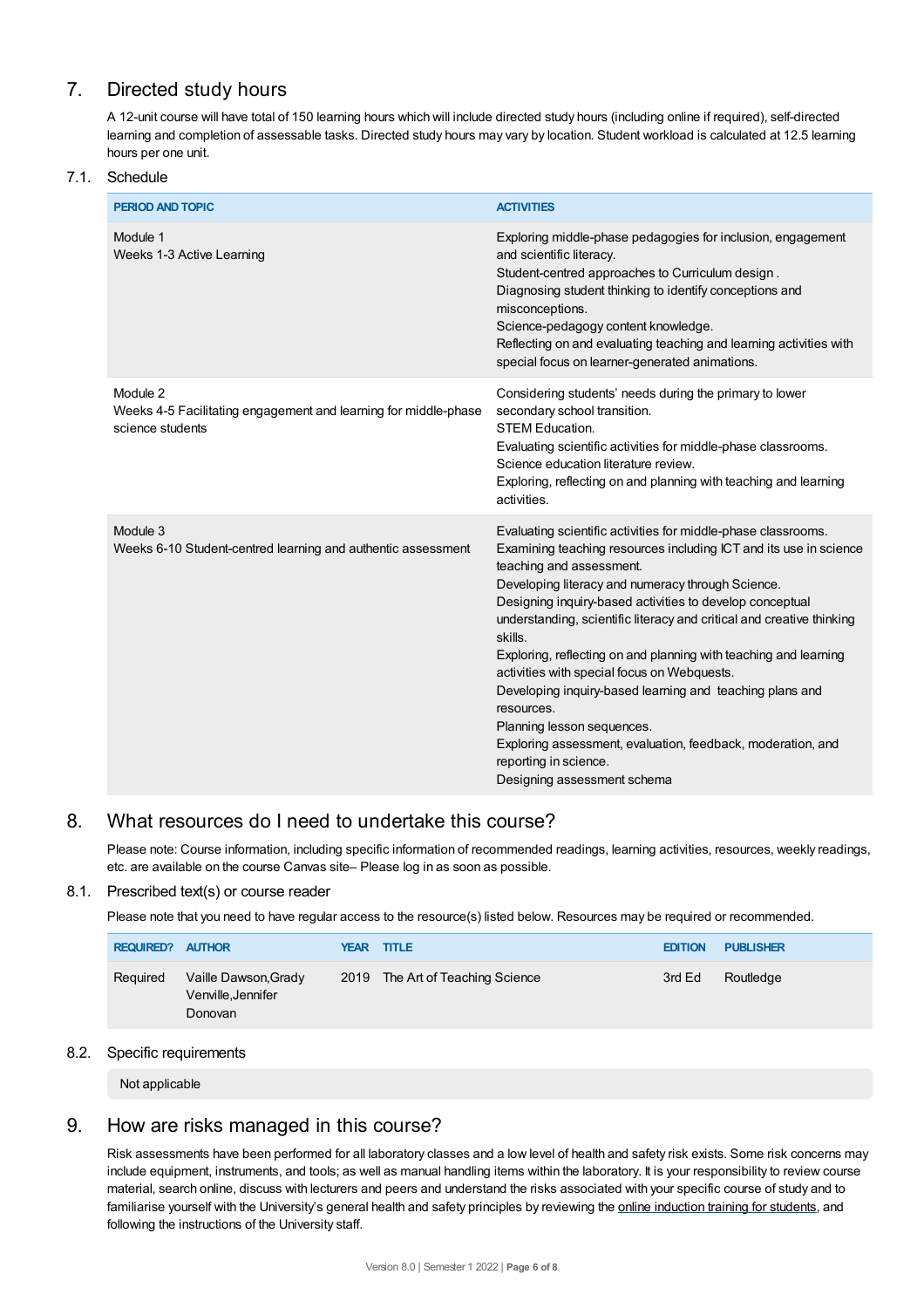# 7. Directed study hours

A 12-unit course will have total of 150 learning hours which will include directed study hours (including online if required), self-directed learning and completion of assessable tasks. Directed study hours may vary by location. Student workload is calculated at 12.5 learning hours per one unit.

## 7.1. Schedule

| <b>PERIOD AND TOPIC</b>                                                                         | <b>ACTIVITIES</b>                                                                                                                                                                                                                                                                                                                                                                                                                                                                                                                                                                                                                                                                                                     |
|-------------------------------------------------------------------------------------------------|-----------------------------------------------------------------------------------------------------------------------------------------------------------------------------------------------------------------------------------------------------------------------------------------------------------------------------------------------------------------------------------------------------------------------------------------------------------------------------------------------------------------------------------------------------------------------------------------------------------------------------------------------------------------------------------------------------------------------|
| Module 1<br>Weeks 1-3 Active Learning                                                           | Exploring middle-phase pedagogies for inclusion, engagement<br>and scientific literacy.<br>Student-centred approaches to Curriculum design.<br>Diagnosing student thinking to identify conceptions and<br>misconceptions.<br>Science-pedagogy content knowledge.<br>Reflecting on and evaluating teaching and learning activities with<br>special focus on learner-generated animations.                                                                                                                                                                                                                                                                                                                              |
| Module 2<br>Weeks 4-5 Facilitating engagement and learning for middle-phase<br>science students | Considering students' needs during the primary to lower<br>secondary school transition.<br><b>STEM Education.</b><br>Evaluating scientific activities for middle-phase classrooms.<br>Science education literature review.<br>Exploring, reflecting on and planning with teaching and learning<br>activities.                                                                                                                                                                                                                                                                                                                                                                                                         |
| Module 3<br>Weeks 6-10 Student-centred learning and authentic assessment                        | Evaluating scientific activities for middle-phase classrooms.<br>Examining teaching resources including ICT and its use in science<br>teaching and assessment.<br>Developing literacy and numeracy through Science.<br>Designing inquiry-based activities to develop conceptual<br>understanding, scientific literacy and critical and creative thinking<br>skills.<br>Exploring, reflecting on and planning with teaching and learning<br>activities with special focus on Webquests.<br>Developing inquiry-based learning and teaching plans and<br>resources.<br>Planning lesson sequences.<br>Exploring assessment, evaluation, feedback, moderation, and<br>reporting in science.<br>Designing assessment schema |

# 8. What resources do I need to undertake this course?

Please note: Course information, including specific information of recommended readings, learning activities, resources, weekly readings, etc. are available on the course Canvas site– Please log in as soon as possible.

# 8.1. Prescribed text(s) or course reader

Please note that you need to have regular access to the resource(s) listed below. Resources may be required or recommended.

| <b>REQUIRED? AUTHOR</b> |                                                       | <b>YEAR TITLE</b>                | <b>EDITION</b> | <b>PUBLISHER</b> |
|-------------------------|-------------------------------------------------------|----------------------------------|----------------|------------------|
| Required                | Vaille Dawson, Grady<br>Venville, Jennifer<br>Donovan | 2019 The Art of Teaching Science | 3rd Ed         | Routledge        |

# 8.2. Specific requirements

Not applicable

# 9. How are risks managed in this course?

Risk assessments have been performed for all laboratory classes and a low level of health and safety risk exists. Some risk concerns may include equipment, instruments, and tools; as well as manual handling items within the laboratory. It is your responsibility to review course material, search online, discuss with lecturers and peers and understand the risks associated with your specific course of study and to familiarise yourself with the University's general health and safety principles by reviewing the online [induction](https://online.usc.edu.au/webapps/blackboard/content/listContentEditable.jsp?content_id=_632657_1&course_id=_14432_1) training for students, and following the instructions of the University staff.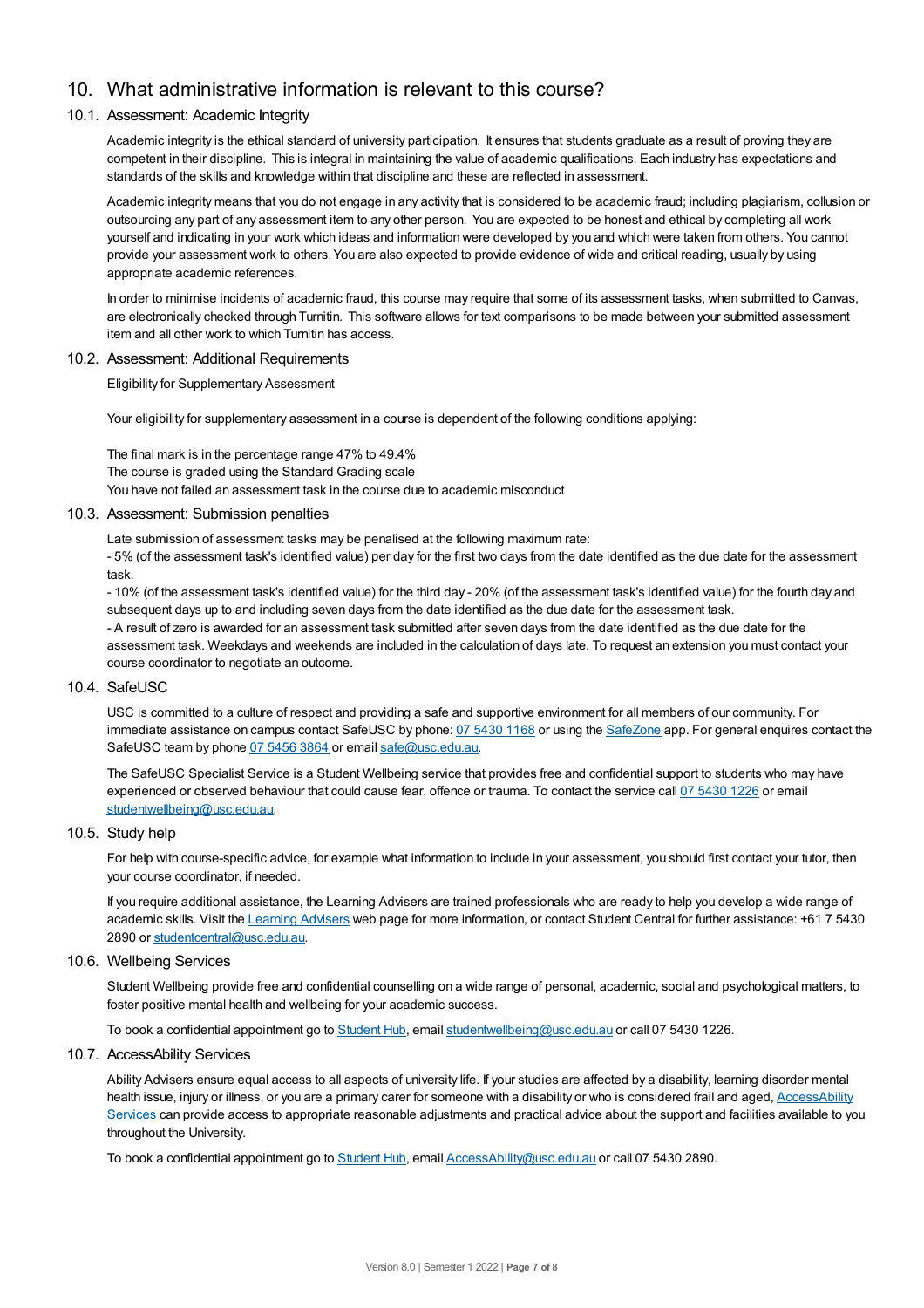# 10. What administrative information is relevant to this course?

## 10.1. Assessment: Academic Integrity

Academic integrity is the ethical standard of university participation. It ensures that students graduate as a result of proving they are competent in their discipline. This is integral in maintaining the value of academic qualifications. Each industry has expectations and standards of the skills and knowledge within that discipline and these are reflected in assessment.

Academic integrity means that you do not engage in any activity that is considered to be academic fraud; including plagiarism, collusion or outsourcing any part of any assessment item to any other person. You are expected to be honest and ethical by completing all work yourself and indicating in your work which ideas and information were developed by you and which were taken from others. You cannot provide your assessment work to others.You are also expected to provide evidence of wide and critical reading, usually by using appropriate academic references.

In order to minimise incidents of academic fraud, this course may require that some of its assessment tasks, when submitted to Canvas, are electronically checked through Turnitin. This software allows for text comparisons to be made between your submitted assessment item and all other work to which Turnitin has access.

#### 10.2. Assessment: Additional Requirements

Eligibility for Supplementary Assessment

Your eligibility for supplementary assessment in a course is dependent of the following conditions applying:

The final mark is in the percentage range 47% to 49.4% The course is graded using the Standard Grading scale You have not failed an assessment task in the course due to academic misconduct

#### 10.3. Assessment: Submission penalties

Late submission of assessment tasks may be penalised at the following maximum rate:

- 5% (of the assessment task's identified value) per day for the first two days from the date identified as the due date for the assessment task.

- 10% (of the assessment task's identified value) for the third day - 20% (of the assessment task's identified value) for the fourth day and subsequent days up to and including seven days from the date identified as the due date for the assessment task. - A result of zero is awarded for an assessment task submitted after seven days from the date identified as the due date for the assessment task. Weekdays and weekends are included in the calculation of days late. To request an extension you must contact your course coordinator to negotiate an outcome.

#### 10.4. SafeUSC

USC is committed to a culture of respect and providing a safe and supportive environment for all members of our community. For immediate assistance on campus contact SafeUSC by phone: 07 [5430](tel:07%205430%201168) 1168 or using the [SafeZone](https://www.safezoneapp.com) app. For general enquires contact the SafeUSC team by phone 07 [5456](tel:07%205456%203864) 3864 or email [safe@usc.edu.au](mailto:safe@usc.edu.au).

The SafeUSC Specialist Service is a Student Wellbeing service that provides free and confidential support to students who may have experienced or observed behaviour that could cause fear, offence or trauma. To contact the service call 07 [5430](tel:07%205430%201226) 1226 or email [studentwellbeing@usc.edu.au](mailto:studentwellbeing@usc.edu.au).

#### 10.5. Study help

For help with course-specific advice, for example what information to include in your assessment, you should first contact your tutor, then your course coordinator, if needed.

If you require additional assistance, the Learning Advisers are trained professionals who are ready to help you develop a wide range of academic skills. Visit the Learning [Advisers](https://www.usc.edu.au/current-students/student-support/academic-and-study-support/learning-advisers) web page for more information, or contact Student Central for further assistance: +61 7 5430 2890 or [studentcentral@usc.edu.au](mailto:studentcentral@usc.edu.au).

#### 10.6. Wellbeing Services

Student Wellbeing provide free and confidential counselling on a wide range of personal, academic, social and psychological matters, to foster positive mental health and wellbeing for your academic success.

To book a confidential appointment go to [Student](https://studenthub.usc.edu.au/) Hub, email [studentwellbeing@usc.edu.au](mailto:studentwellbeing@usc.edu.au) or call 07 5430 1226.

#### 10.7. AccessAbility Services

Ability Advisers ensure equal access to all aspects of university life. If your studies are affected by a disability, learning disorder mental health issue, injury or illness, or you are a primary carer for someone with a disability or who is considered frail and aged, [AccessAbility](https://www.usc.edu.au/learn/student-support/accessability-services/documentation-requirements) Services can provide access to appropriate reasonable adjustments and practical advice about the support and facilities available to you throughout the University.

To book a confidential appointment go to [Student](https://studenthub.usc.edu.au/) Hub, email [AccessAbility@usc.edu.au](mailto:AccessAbility@usc.edu.au) or call 07 5430 2890.